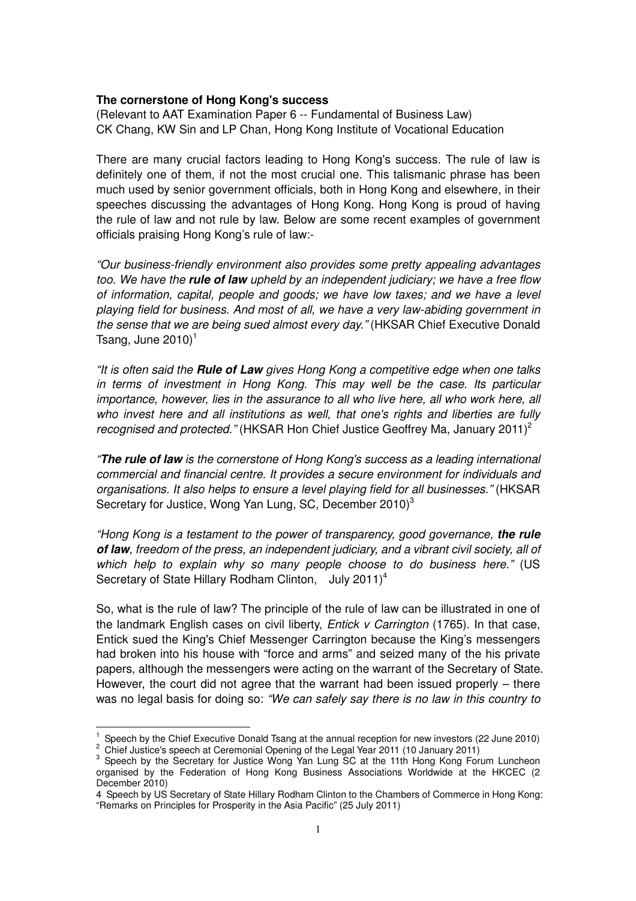## **The cornerstone of Hong Kong's success**

(Relevant to AAT Examination Paper 6 -- Fundamental of Business Law) CK Chang, KW Sin and LP Chan, Hong Kong Institute of Vocational Education

There are many crucial factors leading to Hong Kong's success. The rule of law is definitely one of them, if not the most crucial one. This talismanic phrase has been much used by senior government officials, both in Hong Kong and elsewhere, in their speeches discussing the advantages of Hong Kong. Hong Kong is proud of having the rule of law and not rule by law. Below are some recent examples of government officials praising Hong Kong's rule of law:-

"Our business-friendly environment also provides some pretty appealing advantages too. We have the **rule of law** upheld by an independent judiciary; we have a free flow of information, capital, people and goods; we have low taxes; and we have a level playing field for business. And most of all, we have a very law-abiding government in the sense that we are being sued almost every day." (HKSAR Chief Executive Donald Tsang, June  $2010$ <sup>1</sup>

"It is often said the **Rule of Law** gives Hong Kong a competitive edge when one talks in terms of investment in Hong Kong. This may well be the case. Its particular importance, however, lies in the assurance to all who live here, all who work here, all who invest here and all institutions as well, that one's rights and liberties are fully recognised and protected." (HKSAR Hon Chief Justice Geoffrey Ma, January 2011)<sup>2</sup>

"**The rule of law** is the cornerstone of Hong Kong's success as a leading international commercial and financial centre. It provides a secure environment for individuals and organisations. It also helps to ensure a level playing field for all businesses." (HKSAR Secretary for Justice, Wong Yan Lung, SC, December 2010)<sup>3</sup>

"Hong Kong is a testament to the power of transparency, good governance, **the rule of law**, freedom of the press, an independent judiciary, and a vibrant civil society, all of which help to explain why so many people choose to do business here." (US Secretary of State Hillary Rodham Clinton, July 2011)<sup>4</sup>

So, what is the rule of law? The principle of the rule of law can be illustrated in one of the landmark English cases on civil liberty, *Entick v Carrington* (1765). In that case, Entick sued the King's Chief Messenger Carrington because the King's messengers had broken into his house with "force and arms" and seized many of the his private papers, although the messengers were acting on the warrant of the Secretary of State. However, the court did not agree that the warrant had been issued properly – there was no legal basis for doing so: "We can safely say there is no law in this country to

l

 $1$  Speech by the Chief Executive Donald Tsang at the annual reception for new investors (22 June 2010) <sup>2</sup> Chief Justice's speech at Ceremonial Opening of the Legal Year 2011 (10 January 2011)

<sup>&</sup>lt;sup>3</sup> Speech by the Secretary for Justice Wong Yan Lung SC at the 11th Hong Kong Forum Luncheon organised by the Federation of Hong Kong Business Associations Worldwide at the HKCEC (2 December 2010)

<sup>4</sup> Speech by US Secretary of State Hillary Rodham Clinton to the Chambers of Commerce in Hong Kong: "Remarks on Principles for Prosperity in the Asia Pacific" (25 July 2011)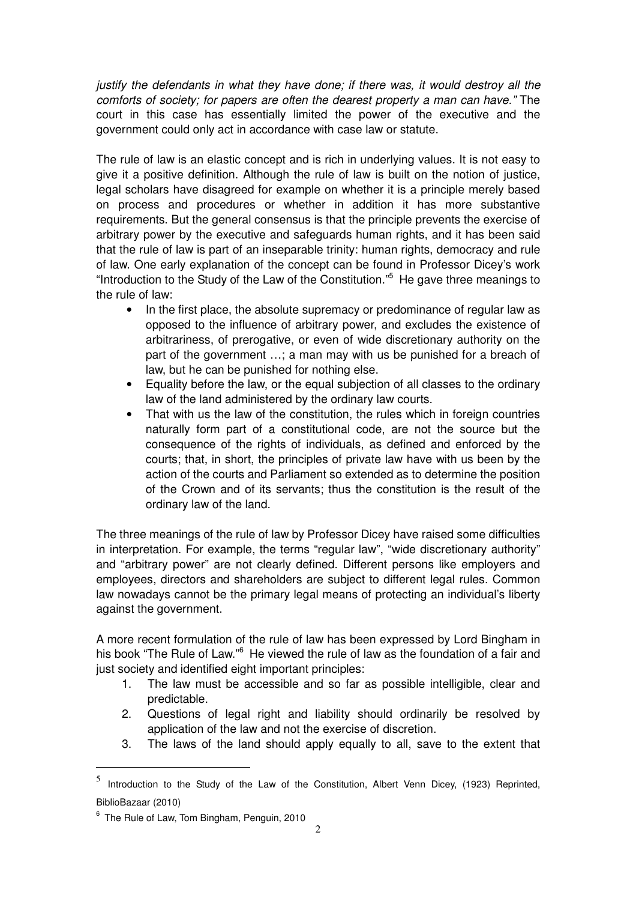justify the defendants in what they have done; if there was, it would destroy all the comforts of society; for papers are often the dearest property a man can have." The court in this case has essentially limited the power of the executive and the government could only act in accordance with case law or statute.

The rule of law is an elastic concept and is rich in underlying values. It is not easy to give it a positive definition. Although the rule of law is built on the notion of justice, legal scholars have disagreed for example on whether it is a principle merely based on process and procedures or whether in addition it has more substantive requirements. But the general consensus is that the principle prevents the exercise of arbitrary power by the executive and safeguards human rights, and it has been said that the rule of law is part of an inseparable trinity: human rights, democracy and rule of law. One early explanation of the concept can be found in Professor Dicey's work "Introduction to the Study of the Law of the Constitution."<sup>5</sup> He gave three meanings to the rule of law:

- In the first place, the absolute supremacy or predominance of regular law as opposed to the influence of arbitrary power, and excludes the existence of arbitrariness, of prerogative, or even of wide discretionary authority on the part of the government …; a man may with us be punished for a breach of law, but he can be punished for nothing else.
- Equality before the law, or the equal subjection of all classes to the ordinary law of the land administered by the ordinary law courts.
- That with us the law of the constitution, the rules which in foreign countries naturally form part of a constitutional code, are not the source but the consequence of the rights of individuals, as defined and enforced by the courts; that, in short, the principles of private law have with us been by the action of the courts and Parliament so extended as to determine the position of the Crown and of its servants; thus the constitution is the result of the ordinary law of the land.

The three meanings of the rule of law by Professor Dicey have raised some difficulties in interpretation. For example, the terms "regular law", "wide discretionary authority" and "arbitrary power" are not clearly defined. Different persons like employers and employees, directors and shareholders are subject to different legal rules. Common law nowadays cannot be the primary legal means of protecting an individual's liberty against the government.

A more recent formulation of the rule of law has been expressed by Lord Bingham in his book "The Rule of Law."<sup>6</sup> He viewed the rule of law as the foundation of a fair and just society and identified eight important principles:

- 1. The law must be accessible and so far as possible intelligible, clear and predictable.
- 2. Questions of legal right and liability should ordinarily be resolved by application of the law and not the exercise of discretion.
- 3. The laws of the land should apply equally to all, save to the extent that

 $\overline{a}$ 

 $^5$  Introduction to the Study of the Law of the Constitution, Albert Venn Dicey, (1923) Reprinted, BiblioBazaar (2010)

<sup>6</sup> The Rule of Law, Tom Bingham, Penguin, 2010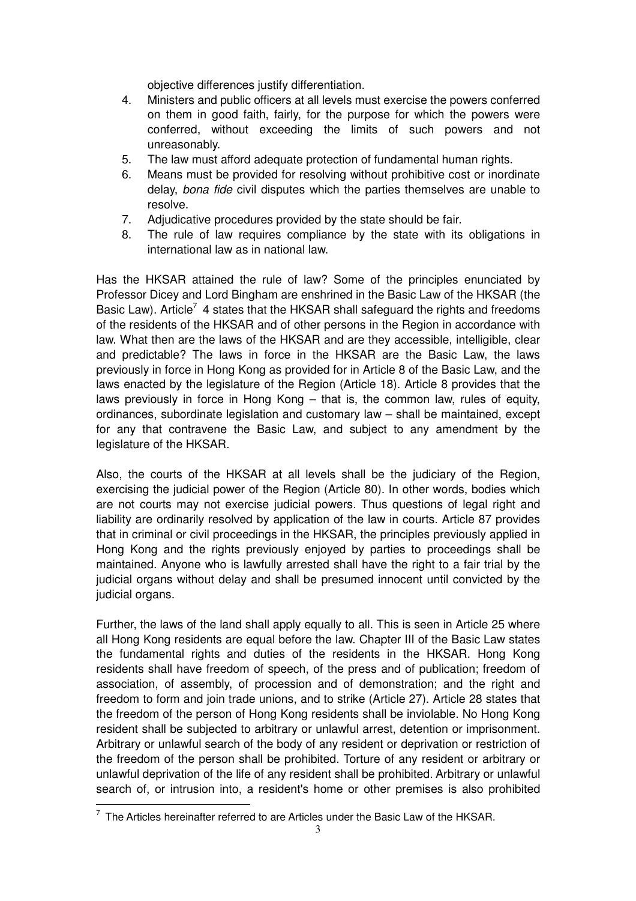objective differences justify differentiation.

- 4. Ministers and public officers at all levels must exercise the powers conferred on them in good faith, fairly, for the purpose for which the powers were conferred, without exceeding the limits of such powers and not unreasonably.
- 5. The law must afford adequate protection of fundamental human rights.
- 6. Means must be provided for resolving without prohibitive cost or inordinate delay, bona fide civil disputes which the parties themselves are unable to resolve.
- 7. Adjudicative procedures provided by the state should be fair.
- 8. The rule of law requires compliance by the state with its obligations in international law as in national law.

Has the HKSAR attained the rule of law? Some of the principles enunciated by Professor Dicey and Lord Bingham are enshrined in the Basic Law of the HKSAR (the Basic Law). Article<sup>7</sup> 4 states that the HKSAR shall safeguard the rights and freedoms of the residents of the HKSAR and of other persons in the Region in accordance with law. What then are the laws of the HKSAR and are they accessible, intelligible, clear and predictable? The laws in force in the HKSAR are the Basic Law, the laws previously in force in Hong Kong as provided for in Article 8 of the Basic Law, and the laws enacted by the legislature of the Region (Article 18). Article 8 provides that the laws previously in force in Hong Kong – that is, the common law, rules of equity, ordinances, subordinate legislation and customary law – shall be maintained, except for any that contravene the Basic Law, and subject to any amendment by the legislature of the HKSAR.

Also, the courts of the HKSAR at all levels shall be the judiciary of the Region, exercising the judicial power of the Region (Article 80). In other words, bodies which are not courts may not exercise judicial powers. Thus questions of legal right and liability are ordinarily resolved by application of the law in courts. Article 87 provides that in criminal or civil proceedings in the HKSAR, the principles previously applied in Hong Kong and the rights previously enjoyed by parties to proceedings shall be maintained. Anyone who is lawfully arrested shall have the right to a fair trial by the judicial organs without delay and shall be presumed innocent until convicted by the judicial organs.

Further, the laws of the land shall apply equally to all. This is seen in Article 25 where all Hong Kong residents are equal before the law. Chapter III of the Basic Law states the fundamental rights and duties of the residents in the HKSAR. Hong Kong residents shall have freedom of speech, of the press and of publication; freedom of association, of assembly, of procession and of demonstration; and the right and freedom to form and join trade unions, and to strike (Article 27). Article 28 states that the freedom of the person of Hong Kong residents shall be inviolable. No Hong Kong resident shall be subjected to arbitrary or unlawful arrest, detention or imprisonment. Arbitrary or unlawful search of the body of any resident or deprivation or restriction of the freedom of the person shall be prohibited. Torture of any resident or arbitrary or unlawful deprivation of the life of any resident shall be prohibited. Arbitrary or unlawful search of, or intrusion into, a resident's home or other premises is also prohibited

 7 The Articles hereinafter referred to are Articles under the Basic Law of the HKSAR.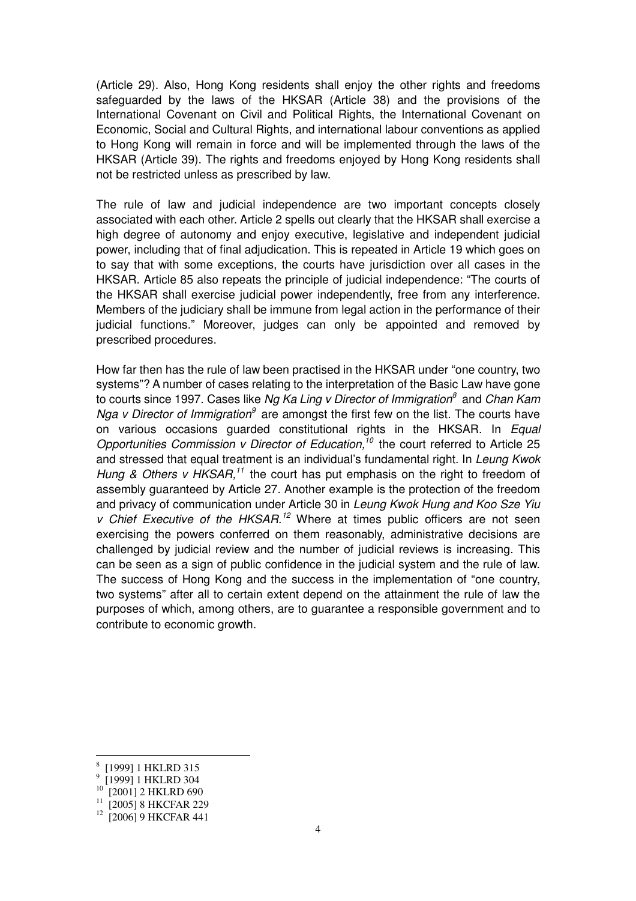(Article 29). Also, Hong Kong residents shall enjoy the other rights and freedoms safeguarded by the laws of the HKSAR (Article 38) and the provisions of the International Covenant on Civil and Political Rights, the International Covenant on Economic, Social and Cultural Rights, and international labour conventions as applied to Hong Kong will remain in force and will be implemented through the laws of the HKSAR (Article 39). The rights and freedoms enjoyed by Hong Kong residents shall not be restricted unless as prescribed by law.

The rule of law and judicial independence are two important concepts closely associated with each other. Article 2 spells out clearly that the HKSAR shall exercise a high degree of autonomy and enjoy executive, legislative and independent judicial power, including that of final adjudication. This is repeated in Article 19 which goes on to say that with some exceptions, the courts have jurisdiction over all cases in the HKSAR. Article 85 also repeats the principle of judicial independence: "The courts of the HKSAR shall exercise judicial power independently, free from any interference. Members of the judiciary shall be immune from legal action in the performance of their judicial functions." Moreover, judges can only be appointed and removed by prescribed procedures.

How far then has the rule of law been practised in the HKSAR under "one country, two systems"? A number of cases relating to the interpretation of the Basic Law have gone to courts since 1997. Cases like Ng Ka Ling v Director of Immigration<sup>8</sup> and Chan Kam Nga v Director of Immigration<sup>9</sup> are amongst the first few on the list. The courts have on various occasions quarded constitutional rights in the HKSAR. In *Equal* Opportunities Commission v Director of Education,<sup>10</sup> the court referred to Article 25 and stressed that equal treatment is an individual's fundamental right. In Leung Kwok Hung & Others v HKSAR,<sup>11</sup> the court has put emphasis on the right to freedom of assembly guaranteed by Article 27. Another example is the protection of the freedom and privacy of communication under Article 30 in Leung Kwok Hung and Koo Sze Yiu v Chief Executive of the HKSAR.<sup>12</sup> Where at times public officers are not seen exercising the powers conferred on them reasonably, administrative decisions are challenged by judicial review and the number of judicial reviews is increasing. This can be seen as a sign of public confidence in the judicial system and the rule of law. The success of Hong Kong and the success in the implementation of "one country, two systems" after all to certain extent depend on the attainment the rule of law the purposes of which, among others, are to guarantee a responsible government and to contribute to economic growth.

 $\overline{a}$ 

<sup>8</sup> [1999] 1 HKLRD 315

<sup>&</sup>lt;sup>9</sup> [1999] 1 HKLRD 304

 $^{10}$  [2001] 2 HKLRD 690

<sup>&</sup>lt;sup>11</sup> [2005] 8 HKCFAR 229

<sup>&</sup>lt;sup>12</sup> [2006] 9 HKCFAR 441